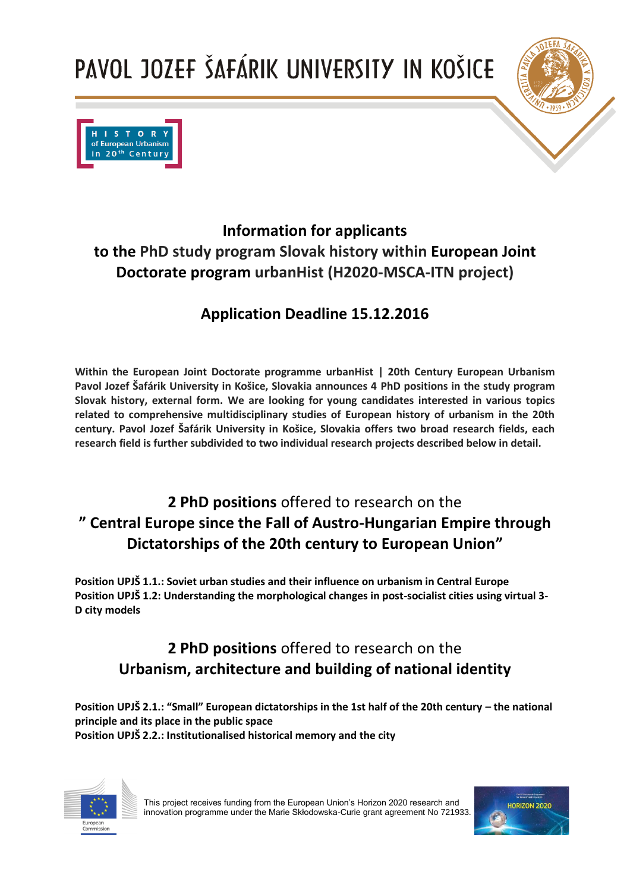



### **Information for applicants to the PhD study program Slovak history within European Joint Doctorate program urbanHist (H2020-MSCA-ITN project)**

### **Application Deadline 15.12.2016**

**Within the European Joint Doctorate programme urbanHist | 20th Century European Urbanism Pavol Jozef Šafárik University in Košice, Slovakia announces 4 PhD positions in the study program Slovak history, external form. We are looking for young candidates interested in various topics related to comprehensive multidisciplinary studies of European history of urbanism in the 20th century. Pavol Jozef Šafárik University in Košice, Slovakia offers two broad research fields, each research field is further subdivided to two individual research projects described below in detail.** 

### **2 PhD positions** offered to research on the **" Central Europe since the Fall of Austro-Hungarian Empire through Dictatorships of the 20th century to European Union"**

**Position UPJŠ 1.1.: Soviet urban studies and their influence on urbanism in Central Europe Position UPJŠ 1.2: Understanding the morphological changes in post-socialist cities using virtual 3- D city models**

### **2 PhD positions** offered to research on the **Urbanism, architecture and building of national identity**

**Position UPJŠ 2.1.: "Small" European dictatorships in the 1st half of the 20th century – the national principle and its place in the public space Position UPJŠ 2.2.: Institutionalised historical memory and the city**



This project receives funding from the European Union's Horizon 2020 research and innovation programme under the Marie Skłodowska-Curie grant agreement No 721933.

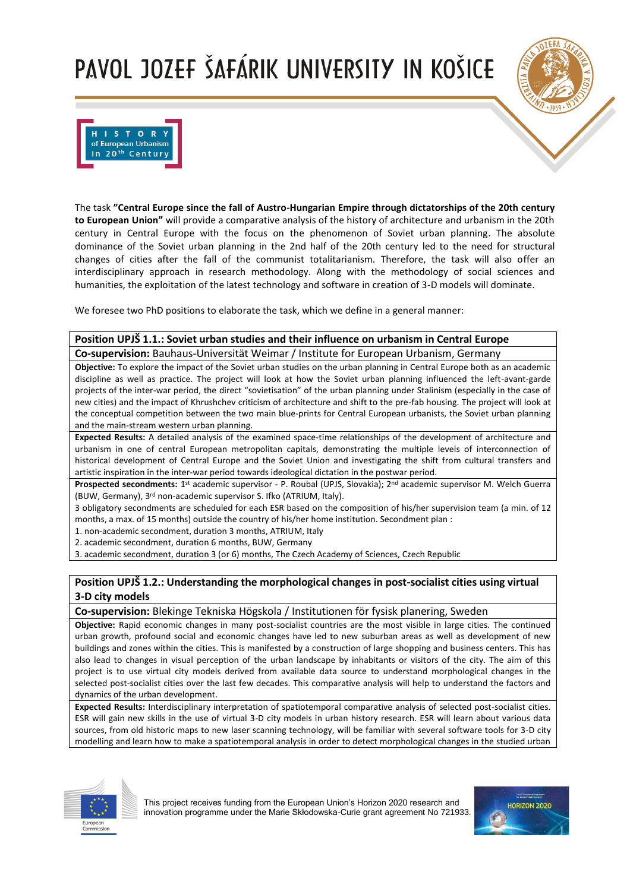



The task **"Central Europe since the fall of Austro-Hungarian Empire through dictatorships of the 20th century to European Union"** will provide a comparative analysis of the history of architecture and urbanism in the 20th century in Central Europe with the focus on the phenomenon of Soviet urban planning. The absolute dominance of the Soviet urban planning in the 2nd half of the 20th century led to the need for structural changes of cities after the fall of the communist totalitarianism. Therefore, the task will also offer an interdisciplinary approach in research methodology. Along with the methodology of social sciences and humanities, the exploitation of the latest technology and software in creation of 3-D models will dominate.

We foresee two PhD positions to elaborate the task, which we define in a general manner:

#### **Position UPJŠ 1.1.: Soviet urban studies and their influence on urbanism in Central Europe**

**Co-supervision:** Bauhaus-Universität Weimar / Institute for European Urbanism, Germany

**Objective:** To explore the impact of the Soviet urban studies on the urban planning in Central Europe both as an academic discipline as well as practice. The project will look at how the Soviet urban planning influenced the left-avant-garde projects of the inter-war period, the direct "sovietisation" of the urban planning under Stalinism (especially in the case of new cities) and the impact of Khrushchev criticism of architecture and shift to the pre-fab housing. The project will look at the conceptual competition between the two main blue-prints for Central European urbanists, the Soviet urban planning and the main-stream western urban planning.

**Expected Results:** A detailed analysis of the examined space-time relationships of the development of architecture and urbanism in one of central European metropolitan capitals, demonstrating the multiple levels of interconnection of historical development of Central Europe and the Soviet Union and investigating the shift from cultural transfers and artistic inspiration in the inter-war period towards ideological dictation in the postwar period.

**Prospected secondments:** 1 st academic supervisor - P. Roubal (UPJS, Slovakia); 2nd academic supervisor M. Welch Guerra (BUW, Germany), 3rd non-academic supervisor S. Ifko (ATRIUM, Italy).

3 obligatory secondments are scheduled for each ESR based on the composition of his/her supervision team (a min. of 12 months, a max. of 15 months) outside the country of his/her home institution. Secondment plan :

1. non-academic secondment, duration 3 months, ATRIUM, Italy

2. academic secondment, duration 6 months, BUW, Germany

3. academic secondment, duration 3 (or 6) months, The Czech Academy of Sciences, Czech Republic

#### **Position UPJŠ 1.2.: Understanding the morphological changes in post-socialist cities using virtual 3-D city models**

**Co-supervision:** Blekinge Tekniska Högskola / Institutionen för fysisk planering, Sweden

**Objective:** Rapid economic changes in many post-socialist countries are the most visible in large cities. The continued urban growth, profound social and economic changes have led to new suburban areas as well as development of new buildings and zones within the cities. This is manifested by a construction of large shopping and business centers. This has also lead to changes in visual perception of the urban landscape by inhabitants or visitors of the city. The aim of this project is to use virtual city models derived from available data source to understand morphological changes in the selected post-socialist cities over the last few decades. This comparative analysis will help to understand the factors and dynamics of the urban development.

**Expected Results:** Interdisciplinary interpretation of spatiotemporal comparative analysis of selected post-socialist cities. ESR will gain new skills in the use of virtual 3-D city models in urban history research. ESR will learn about various data sources, from old historic maps to new laser scanning technology, will be familiar with several software tools for 3-D city modelling and learn how to make a spatiotemporal analysis in order to detect morphological changes in the studied urban



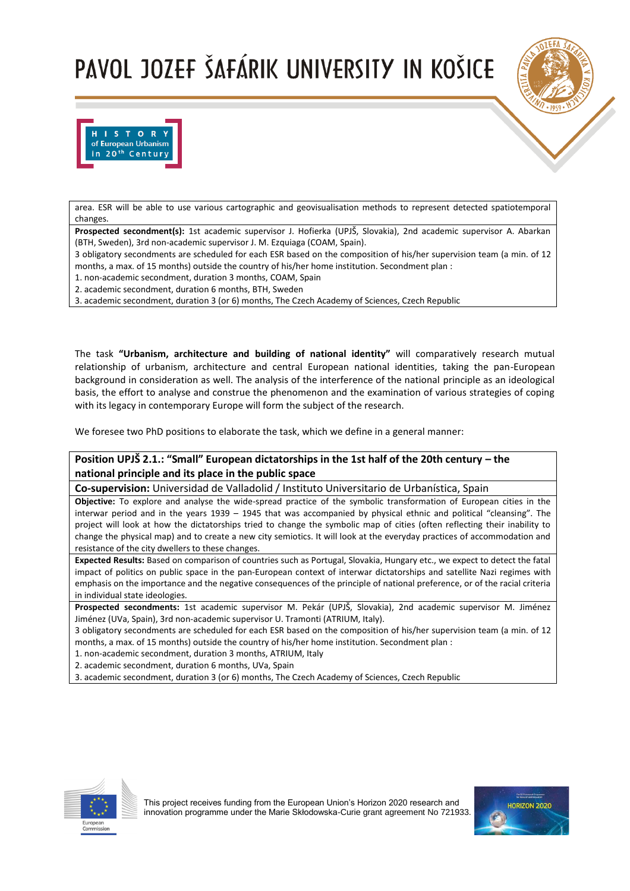



area. ESR will be able to use various cartographic and geovisualisation methods to represent detected spatiotemporal changes.

**Prospected secondment(s):** 1st academic supervisor J. Hofierka (UPJŠ, Slovakia), 2nd academic supervisor A. Abarkan (BTH, Sweden), 3rd non-academic supervisor J. M. Ezquiaga (COAM, Spain).

3 obligatory secondments are scheduled for each ESR based on the composition of his/her supervision team (a min. of 12 months, a max. of 15 months) outside the country of his/her home institution. Secondment plan :

1. non-academic secondment, duration 3 months, COAM, Spain

2. academic secondment, duration 6 months, BTH, Sweden

3. academic secondment, duration 3 (or 6) months, The Czech Academy of Sciences, Czech Republic

The task **"Urbanism, architecture and building of national identity"** will comparatively research mutual relationship of urbanism, architecture and central European national identities, taking the pan-European background in consideration as well. The analysis of the interference of the national principle as an ideological basis, the effort to analyse and construe the phenomenon and the examination of various strategies of coping with its legacy in contemporary Europe will form the subject of the research.

We foresee two PhD positions to elaborate the task, which we define in a general manner:

### **Position UPJŠ 2.1.: "Small" European dictatorships in the 1st half of the 20th century – the national principle and its place in the public space**

**Co-supervision:** Universidad de Valladolid / Instituto Universitario de Urbanística, Spain

**Objective:** To explore and analyse the wide-spread practice of the symbolic transformation of European cities in the interwar period and in the years 1939 – 1945 that was accompanied by physical ethnic and political "cleansing". The project will look at how the dictatorships tried to change the symbolic map of cities (often reflecting their inability to change the physical map) and to create a new city semiotics. It will look at the everyday practices of accommodation and resistance of the city dwellers to these changes.

**Expected Results:** Based on comparison of countries such as Portugal, Slovakia, Hungary etc., we expect to detect the fatal impact of politics on public space in the pan-European context of interwar dictatorships and satellite Nazi regimes with emphasis on the importance and the negative consequences of the principle of national preference, or of the racial criteria in individual state ideologies.

**Prospected secondments:** 1st academic supervisor M. Pekár (UPJŠ, Slovakia), 2nd academic supervisor M. Jiménez Jiménez (UVa, Spain), 3rd non-academic supervisor U. Tramonti (ATRIUM, Italy).

3 obligatory secondments are scheduled for each ESR based on the composition of his/her supervision team (a min. of 12 months, a max. of 15 months) outside the country of his/her home institution. Secondment plan :

1. non-academic secondment, duration 3 months, ATRIUM, Italy

2. academic secondment, duration 6 months, UVa, Spain

3. academic secondment, duration 3 (or 6) months, The Czech Academy of Sciences, Czech Republic



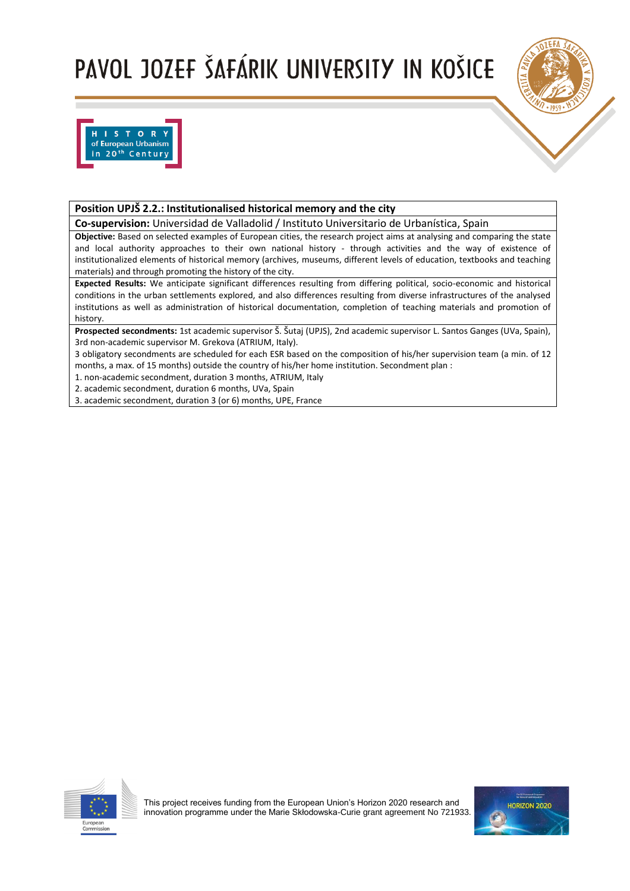



### **Position UPJŠ 2.2.: Institutionalised historical memory and the city**

**Co-supervision:** Universidad de Valladolid / Instituto Universitario de Urbanística, Spain

**Objective:** Based on selected examples of European cities, the research project aims at analysing and comparing the state and local authority approaches to their own national history - through activities and the way of existence of institutionalized elements of historical memory (archives, museums, different levels of education, textbooks and teaching materials) and through promoting the history of the city.

**Expected Results:** We anticipate significant differences resulting from differing political, socio-economic and historical conditions in the urban settlements explored, and also differences resulting from diverse infrastructures of the analysed institutions as well as administration of historical documentation, completion of teaching materials and promotion of history.

**Prospected secondments:** 1st academic supervisor Š. Šutaj (UPJS), 2nd academic supervisor L. Santos Ganges (UVa, Spain), 3rd non-academic supervisor M. Grekova (ATRIUM, Italy).

3 obligatory secondments are scheduled for each ESR based on the composition of his/her supervision team (a min. of 12 months, a max. of 15 months) outside the country of his/her home institution. Secondment plan :

1. non-academic secondment, duration 3 months, ATRIUM, Italy

2. academic secondment, duration 6 months, UVa, Spain

3. academic secondment, duration 3 (or 6) months, UPE, France



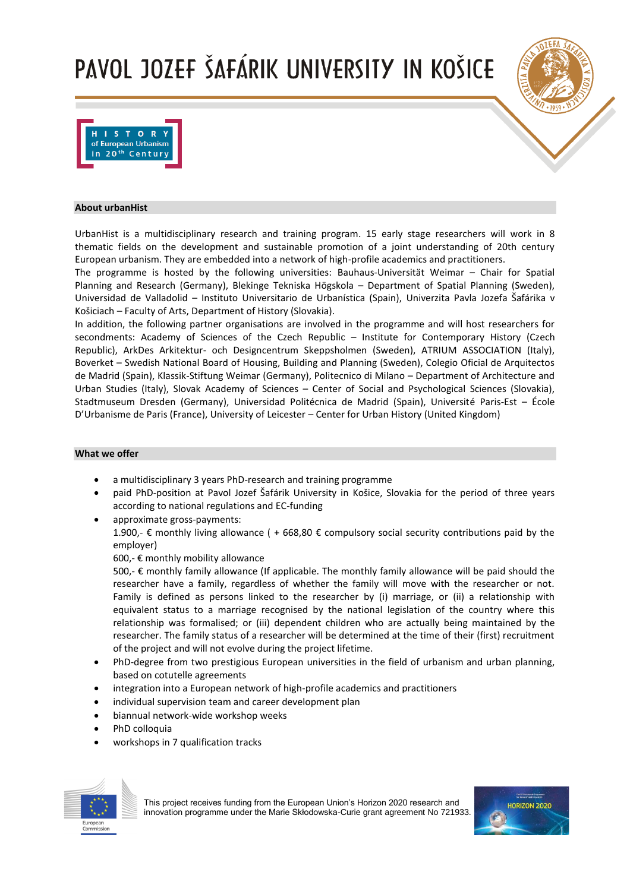



#### **About urbanHist**

UrbanHist is a multidisciplinary research and training program. 15 early stage researchers will work in 8 thematic fields on the development and sustainable promotion of a joint understanding of 20th century European urbanism. They are embedded into a network of high-profile academics and practitioners.

The programme is hosted by the following universities: Bauhaus-Universität Weimar – Chair for Spatial Planning and Research (Germany), Blekinge Tekniska Högskola – Department of Spatial Planning (Sweden), Universidad de Valladolid – Instituto Universitario de Urbanística (Spain), Univerzita Pavla Jozefa Šafárika v Košiciach – Faculty of Arts, Department of History (Slovakia).

In addition, the following partner organisations are involved in the programme and will host researchers for secondments: Academy of Sciences of the Czech Republic – Institute for Contemporary History (Czech Republic), ArkDes Arkitektur- och Designcentrum Skeppsholmen (Sweden), ATRIUM ASSOCIATION (Italy), Boverket – Swedish National Board of Housing, Building and Planning (Sweden), Colegio Oficial de Arquitectos de Madrid (Spain), Klassik-Stiftung Weimar (Germany), Politecnico di Milano – Department of Architecture and Urban Studies (Italy), Slovak Academy of Sciences – Center of Social and Psychological Sciences (Slovakia), Stadtmuseum Dresden (Germany), Universidad Politécnica de Madrid (Spain), Université Paris-Est – École D'Urbanisme de Paris (France), University of Leicester – Center for Urban History (United Kingdom)

#### **What we offer**

- a multidisciplinary 3 years PhD-research and training programme
- paid PhD-position at Pavol Jozef Šafárik University in Košice, Slovakia for the period of three years according to national regulations and EC-funding
- approximate gross-payments: 1.900,- € monthly living allowance ( + 668,80 € compulsory social security contributions paid by the employer)

600,- € monthly mobility allowance

500,- € monthly family allowance (If applicable. The monthly family allowance will be paid should the researcher have a family, regardless of whether the family will move with the researcher or not. Family is defined as persons linked to the researcher by (i) marriage, or (ii) a relationship with equivalent status to a marriage recognised by the national legislation of the country where this relationship was formalised; or (iii) dependent children who are actually being maintained by the researcher. The family status of a researcher will be determined at the time of their (first) recruitment of the project and will not evolve during the project lifetime.

- PhD-degree from two prestigious European universities in the field of urbanism and urban planning, based on cotutelle agreements
- integration into a European network of high-profile academics and practitioners
- individual supervision team and career development plan
- biannual network-wide workshop weeks
- PhD colloquia
- workshops in 7 qualification tracks



This project receives funding from the European Union's Horizon 2020 research and innovation programme under the Marie Skłodowska-Curie grant agreement No 721933.

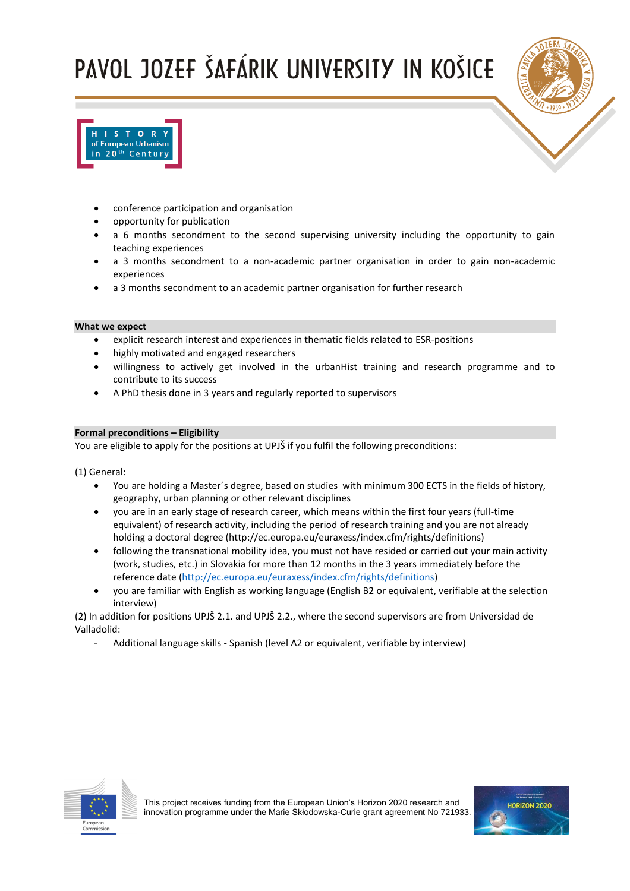



- conference participation and organisation
- opportunity for publication
- a 6 months secondment to the second supervising university including the opportunity to gain teaching experiences
- a 3 months secondment to a non-academic partner organisation in order to gain non-academic experiences
- a 3 months secondment to an academic partner organisation for further research

#### **What we expect**

- explicit research interest and experiences in thematic fields related to ESR-positions
- highly motivated and engaged researchers
- willingness to actively get involved in the urbanHist training and research programme and to contribute to its success
- A PhD thesis done in 3 years and regularly reported to supervisors

#### **Formal preconditions – Eligibility**

You are eligible to apply for the positions at UPJŠ if you fulfil the following preconditions:

(1) General:

- You are holding a Master´s degree, based on studies with minimum 300 ECTS in the fields of history, geography, urban planning or other relevant disciplines
- you are in an early stage of research career, which means within the first four years (full-time equivalent) of research activity, including the period of research training and you are not already holding a doctoral degree (http://ec.europa.eu/euraxess/index.cfm/rights/definitions)
- following the transnational mobility idea, you must not have resided or carried out your main activity (work, studies, etc.) in Slovakia for more than 12 months in the 3 years immediately before the reference date [\(http://ec.europa.eu/euraxess/index.cfm/rights/definitions\)](http://ec.europa.eu/euraxess/index.cfm/rights/definitions)
- you are familiar with English as working language (English B2 or equivalent, verifiable at the selection interview)

(2) In addition for positions UPJŠ 2.1. and UPJŠ 2.2., where the second supervisors are from Universidad de Valladolid:

- Additional language skills - Spanish (level A2 or equivalent, verifiable by interview)



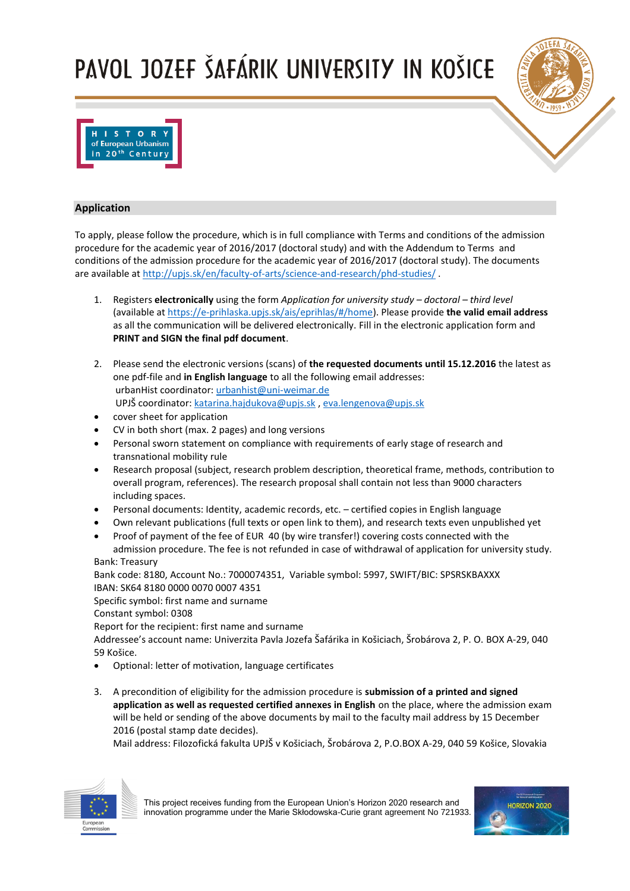



#### **Application**

To apply, please follow the procedure, which is in full compliance with Terms and conditions of the admission procedure for the academic year of 2016/2017 (doctoral study) and with the Addendum to Terms and conditions of the admission procedure for the academic year of 2016/2017 (doctoral study). The documents are available at<http://upjs.sk/en/faculty-of-arts/science-and-research/phd-studies/> .

- 1. Registers **electronically** using the form *Application for university study – doctoral – third level* (available a[t https://e-prihlaska.upjs.sk/ais/eprihlas/#/home\)](https://e-prihlaska.upjs.sk/ais/eprihlas/#/home). Please provide **the valid email address** as all the communication will be delivered electronically. Fill in the electronic application form and **PRINT and SIGN the final pdf document**.
- 2. Please send the electronic versions (scans) of **the requested documents until 15.12.2016** the latest as one pdf-file and **in English language** to all the following email addresses: urbanHist coordinator: [urbanhist@uni-weimar.de](file:///C:/Users/katka/Desktop/urbanhist@uni-weimar.de) UPJŠ coordinator: [katarina.hajdukova@upjs.sk](mailto:katarina.hajdukova@upjs.sk) , [eva.lengenova@upjs.sk](file:///C:/Users/katka/Desktop/eva.lengenova@upjs.sk)
- cover sheet for application
- CV in both short (max. 2 pages) and long versions
- Personal sworn statement on compliance with requirements of early stage of research and transnational mobility rule
- Research proposal (subject, research problem description, theoretical frame, methods, contribution to overall program, references). The research proposal shall contain not less than 9000 characters including spaces.
- Personal documents: Identity, academic records, etc. certified copies in English language
- Own relevant publications (full texts or open link to them), and research texts even unpublished yet
- Proof of payment of the fee of EUR 40 (by wire transfer!) covering costs connected with the admission procedure. The fee is not refunded in case of withdrawal of application for university study. Bank: Treasury

Bank code: 8180, Account No.: 7000074351, Variable symbol: 5997, SWIFT/BIC: SPSRSKBAXXX IBAN: SK64 8180 0000 0070 0007 4351 Specific symbol: first name and surname

Constant symbol: 0308

Report for the recipient: first name and surname

Addressee's account name: Univerzita Pavla Jozefa Šafárika in Košiciach, Šrobárova 2, P. O. BOX A-29, 040 59 Košice.

- Optional: letter of motivation, language certificates
- 3. A precondition of eligibility for the admission procedure is **submission of a printed and signed application as well as requested certified annexes in English** on the place, where the admission exam will be held or sending of the above documents by mail to the faculty mail address by 15 December 2016 (postal stamp date decides).

Mail address: Filozofická fakulta UPJŠ v Košiciach, Šrobárova 2, P.O.BOX A-29, 040 59 Košice, Slovakia